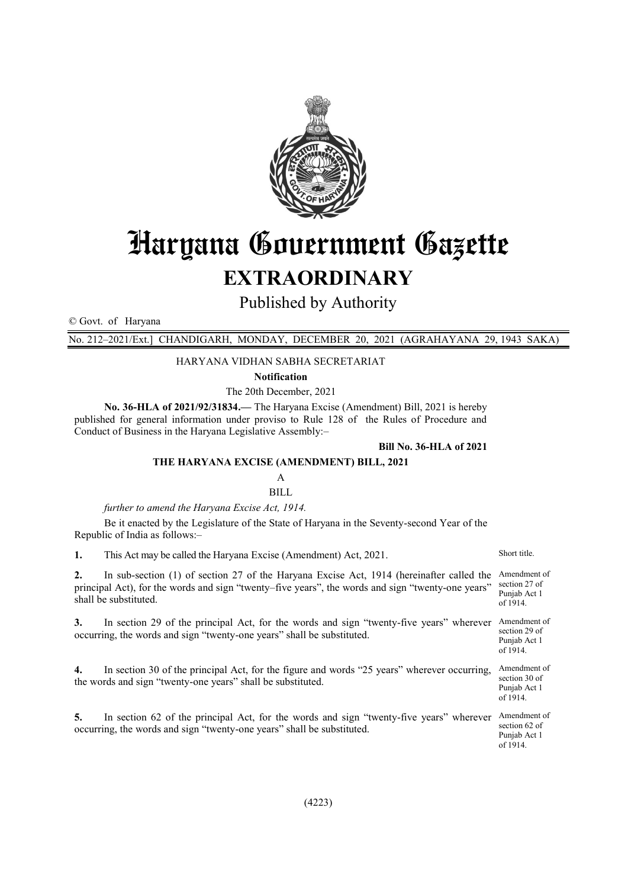

# Haryana Government Gazette

# **EXTRAORDINARY**

Published by Authority

© Govt. of Haryana

No. 212–2021/Ext.] CHANDIGARH, MONDAY, DECEMBER 20, 2021 (AGRAHAYANA 29, 1943 SAKA)

#### HARYANA VIDHAN SABHA SECRETARIAT

**Notification**

The 20th December, 2021

**No. 36-HLA of 2021/92/31834.—** The Haryana Excise (Amendment) Bill, 2021 is hereby published for general information under proviso to Rule 128 of the Rules of Procedure and Conduct of Business in the Haryana Legislative Assembly:–

#### **Bill No. 36-HLA of 2021**

#### **THE HARYANA EXCISE (AMENDMENT) BILL, 2021**

#### A BILL

*further to amend the Haryana Excise Act, 1914.*

Be it enacted by the Legislature of the State of Haryana in the Seventy-second Year of the Republic of India as follows:–

**1.** This Act may be called the Haryana Excise (Amendment) Act, 2021. Short title.

2. In sub-section (1) of section 27 of the Haryana Excise Act, 1914 (hereinafter called the Amendment of principal Act), for the words and sign "twenty–five years", the words and sign "twenty-one years" shall be substituted. section 27 of Punjab Act 1 of 1914.

**3.** In section 29 of the principal Act, for the words and sign "twenty-five years" wherever Amendment of occurring, the words and sign "twenty-one years" shall be substituted. section 29 of Punjab Act 1

**4.** In section 30 of the principal Act, for the figure and words "25 years" wherever occurring, the words and sign "twenty-one years" shall be substituted.

**5.** In section 62 of the principal Act, for the words and sign "twenty-five years" wherever occurring, the words and sign "twenty-one years" shall be substituted. Amendment of section 62 of

Punjab Act 1 of 1914.

of 1914.

Amendment of section 30 of Punjab Act 1 of 1914.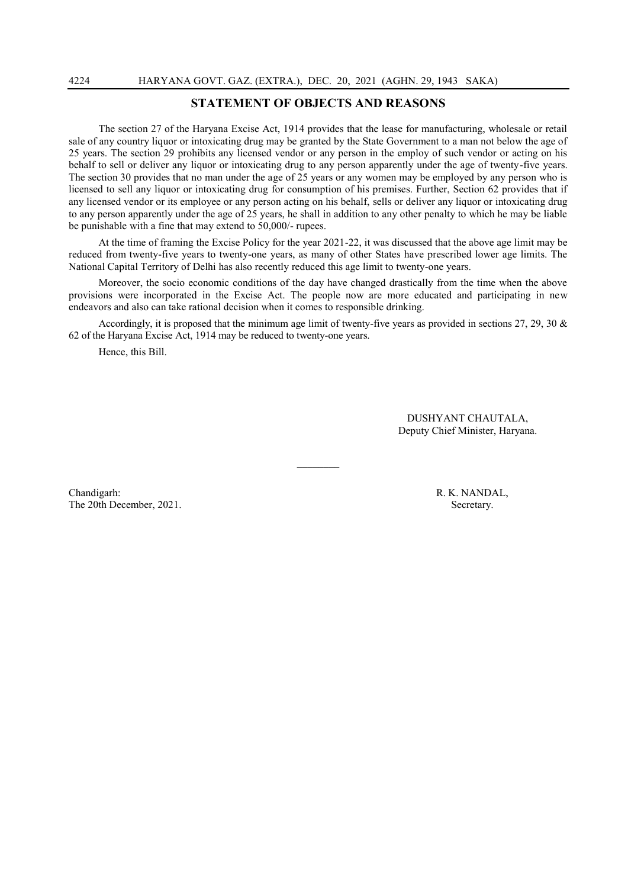#### **STATEMENT OF OBJECTS AND REASONS**

The section 27 of the Haryana Excise Act, 1914 provides that the lease for manufacturing, wholesale or retail sale of any country liquor or intoxicating drug may be granted by the State Government to a man not below the age of 25 years. The section 29 prohibits any licensed vendor or any person in the employ of such vendor or acting on his behalf to sell or deliver any liquor or intoxicating drug to any person apparently under the age of twenty-five years. The section 30 provides that no man under the age of 25 years or any women may be employed by any person who is licensed to sell any liquor or intoxicating drug for consumption of his premises. Further, Section 62 provides that if any licensed vendor or its employee or any person acting on his behalf, sells or deliver any liquor or intoxicating drug to any person apparently under the age of 25 years, he shall in addition to any other penalty to which he may be liable be punishable with a fine that may extend to 50,000/- rupees.

At the time of framing the Excise Policy for the year 2021-22, it was discussed that the above age limit may be reduced from twenty-five years to twenty-one years, as many of other States have prescribed lower age limits. The National Capital Territory of Delhi has also recently reduced this age limit to twenty-one years.

Moreover, the socio economic conditions of the day have changed drastically from the time when the above provisions were incorporated in the Excise Act. The people now are more educated and participating in new endeavors and also can take rational decision when it comes to responsible drinking.

Accordingly, it is proposed that the minimum age limit of twenty-five years as provided in sections 27, 29, 30  $\&$ 62 of the Haryana Excise Act, 1914 may be reduced to twenty-one years.

 $\frac{1}{2}$ 

Hence, this Bill.

DUSHYANT CHAUTALA, Deputy Chief Minister, Haryana.

Chandigarh: R. K. NANDAL, The 20th December, 2021. Secretary.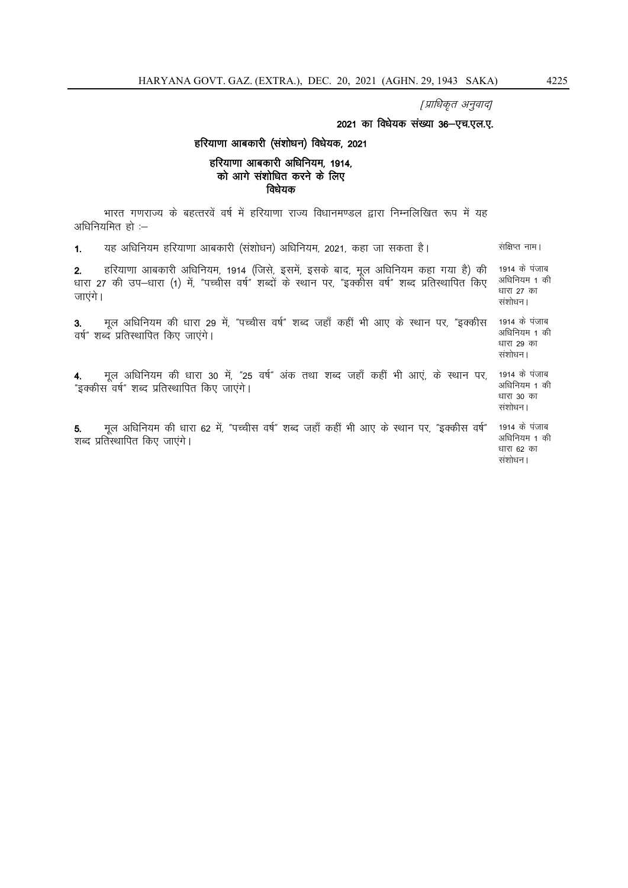[प्राधिकृत अनुवाद]

### 2021 का विधेयक संख्या 36-एच.एल.ए.

## हरियाणा आबकारी (संशोधन) विधेयक, 2021

# हरियाणा आबकारी अधिनियम, 1914,<br>को आगे संशोधित करने के लिए विधेयक

भारत गणराज्य के बहत्तरवें वर्ष में हरियाणा राज्य विधानमण्डल द्वारा निम्नलिखित रूप में यह अधिनियमित हो :-

| 1.               | यह अधिनियम हरियाणा आबकारी (संशोधन) अधिनियम, 2021, कहा जा सकता है।                                                                                                                    | संक्षिप्त नाम।                                         |
|------------------|--------------------------------------------------------------------------------------------------------------------------------------------------------------------------------------|--------------------------------------------------------|
| 2.<br>जाएंगे।    | हरियाणा आबकारी अधिनियम, 1914 (जिसे, इसमें, इसके बाद, मूल अधिनियम कहा गया है) की<br>धारा 27 की उप–धारा (1) में, "पच्चीस वर्ष" शब्दों के स्थान पर, "इक्कीस वर्ष" शब्द प्रतिस्थापित किए | 1914 के पंजाब<br>अधिनियम 1 की<br>धारा 27 का<br>संशोधन। |
| 3.               | मूल अधिनियम की धारा 29 में, "पच्चीस वर्ष" शब्द जहाँ कहीं भी आए के स्थान पर, "इक्कीस<br>वर्ष" शब्द प्रतिस्थापित किए जाएंगे।                                                           | 1914 के पंजाब<br>अधिनियम 1 की<br>धारा 29 का<br>संशोधन। |
| $\overline{4}$ . | मूल अधिनियम की धारा 30 में, "25 वर्ष" अंक तथा शब्द जहाँ कहीं भी आएं, के स्थान पर,<br>"इक्कीस वर्ष" शब्द प्रतिस्थापित किए जाएंगे।                                                     | 1914 के पंजाब<br>अधिनियम 1 की<br>धारा 30 का<br>संशोधन। |
| 5.               | मूल अधिनियम की धारा 62 में, "पच्चीस वर्ष" शब्द जहाँ कहीं भी आए के स्थान पर, "इक्कीस वर्ष"<br>शब्द प्रतिस्थापित किए जाएंगे।                                                           | 1914 के पंजाब<br>अधिनियम 1 की<br>धारा 62 का<br>संशोधन। |